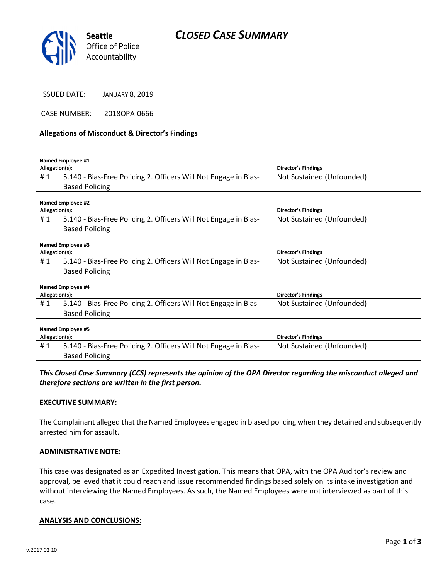

ISSUED DATE: JANUARY 8, 2019

CASE NUMBER: 2018OPA-0666

## Allegations of Misconduct & Director's Findings

#### Named Employee #1

| Allegation(s): |                                                                 | <b>Director's Findings</b> |
|----------------|-----------------------------------------------------------------|----------------------------|
| #1             | 5.140 - Bias-Free Policing 2. Officers Will Not Engage in Bias- | Not Sustained (Unfounded)  |
|                | <b>Based Policing</b>                                           |                            |
|                |                                                                 |                            |

#### Named Employee #2

| Allegation(s): |                                                                 | <b>Director's Findings</b> |
|----------------|-----------------------------------------------------------------|----------------------------|
| #1             | 5.140 - Bias-Free Policing 2. Officers Will Not Engage in Bias- | Not Sustained (Unfounded)  |
|                | <b>Based Policing</b>                                           |                            |

#### Named Employee #3

| Allegation(s): |                                                                 | <b>Director's Findings</b> |
|----------------|-----------------------------------------------------------------|----------------------------|
|                | 5.140 - Bias-Free Policing 2. Officers Will Not Engage in Bias- | Not Sustained (Unfounded)  |
|                | <b>Based Policing</b>                                           |                            |

#### Named Employee #4

| Allegation(s): |                                                                 | <b>Director's Findings</b> |
|----------------|-----------------------------------------------------------------|----------------------------|
| #1             | 5.140 - Bias-Free Policing 2. Officers Will Not Engage in Bias- | Not Sustained (Unfounded)  |
|                | <b>Based Policing</b>                                           |                            |

#### Named Employee #5

| Allegation(s): |                                                                   | Director's Findings       |
|----------------|-------------------------------------------------------------------|---------------------------|
| #1             | 1 5.140 - Bias-Free Policing 2. Officers Will Not Engage in Bias- | Not Sustained (Unfounded) |
|                | <b>Based Policing</b>                                             |                           |

## This Closed Case Summary (CCS) represents the opinion of the OPA Director regarding the misconduct alleged and therefore sections are written in the first person.

### EXECUTIVE SUMMARY:

The Complainant alleged that the Named Employees engaged in biased policing when they detained and subsequently arrested him for assault.

### ADMINISTRATIVE NOTE:

This case was designated as an Expedited Investigation. This means that OPA, with the OPA Auditor's review and approval, believed that it could reach and issue recommended findings based solely on its intake investigation and without interviewing the Named Employees. As such, the Named Employees were not interviewed as part of this case.

### ANALYSIS AND CONCLUSIONS: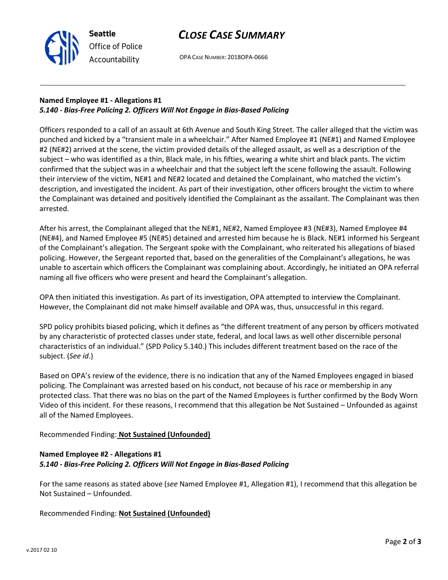

OPA CASE NUMBER: 2018OPA-0666

# Named Employee #1 - Allegations #1 5.140 - Bias-Free Policing 2. Officers Will Not Engage in Bias-Based Policing

Seattle

Office of Police Accountability

Officers responded to a call of an assault at 6th Avenue and South King Street. The caller alleged that the victim was punched and kicked by a "transient male in a wheelchair." After Named Employee #1 (NE#1) and Named Employee #2 (NE#2) arrived at the scene, the victim provided details of the alleged assault, as well as a description of the subject – who was identified as a thin, Black male, in his fifties, wearing a white shirt and black pants. The victim confirmed that the subject was in a wheelchair and that the subject left the scene following the assault. Following their interview of the victim, NE#1 and NE#2 located and detained the Complainant, who matched the victim's description, and investigated the incident. As part of their investigation, other officers brought the victim to where the Complainant was detained and positively identified the Complainant as the assailant. The Complainant was then arrested.

After his arrest, the Complainant alleged that the NE#1, NE#2, Named Employee #3 (NE#3), Named Employee #4 (NE#4), and Named Employee #5 (NE#5) detained and arrested him because he is Black. NE#1 informed his Sergeant of the Complainant's allegation. The Sergeant spoke with the Complainant, who reiterated his allegations of biased policing. However, the Sergeant reported that, based on the generalities of the Complainant's allegations, he was unable to ascertain which officers the Complainant was complaining about. Accordingly, he initiated an OPA referral naming all five officers who were present and heard the Complainant's allegation.

OPA then initiated this investigation. As part of its investigation, OPA attempted to interview the Complainant. However, the Complainant did not make himself available and OPA was, thus, unsuccessful in this regard.

SPD policy prohibits biased policing, which it defines as "the different treatment of any person by officers motivated by any characteristic of protected classes under state, federal, and local laws as well other discernible personal characteristics of an individual." (SPD Policy 5.140.) This includes different treatment based on the race of the subject. (See id.)

Based on OPA's review of the evidence, there is no indication that any of the Named Employees engaged in biased policing. The Complainant was arrested based on his conduct, not because of his race or membership in any protected class. That there was no bias on the part of the Named Employees is further confirmed by the Body Worn Video of this incident. For these reasons, I recommend that this allegation be Not Sustained – Unfounded as against all of the Named Employees.

# Recommended Finding: Not Sustained (Unfounded)

# Named Employee #2 - Allegations #1 5.140 - Bias-Free Policing 2. Officers Will Not Engage in Bias-Based Policing

For the same reasons as stated above (see Named Employee #1, Allegation #1), I recommend that this allegation be Not Sustained – Unfounded.

Recommended Finding: Not Sustained (Unfounded)